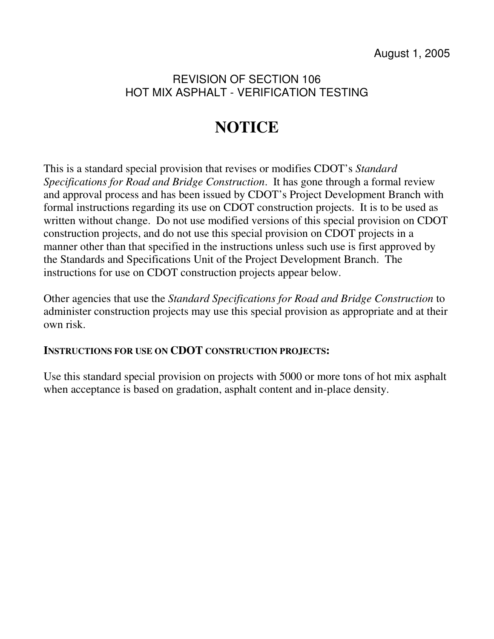## REVISION OF SECTION 106 HOT MIX ASPHALT - VERIFICATION TESTING

# **NOTICE**

This is a standard special provision that revises or modifies CDOT's *Standard Specifications for Road and Bridge Construction*. It has gone through a formal review and approval process and has been issued by CDOT's Project Development Branch with formal instructions regarding its use on CDOT construction projects. It is to be used as written without change. Do not use modified versions of this special provision on CDOT construction projects, and do not use this special provision on CDOT projects in a manner other than that specified in the instructions unless such use is first approved by the Standards and Specifications Unit of the Project Development Branch. The instructions for use on CDOT construction projects appear below.

Other agencies that use the *Standard Specifications for Road and Bridge Construction* to administer construction projects may use this special provision as appropriate and at their own risk.

### **INSTRUCTIONS FOR USE ON CDOT CONSTRUCTION PROJECTS:**

Use this standard special provision on projects with 5000 or more tons of hot mix asphalt when acceptance is based on gradation, asphalt content and in-place density.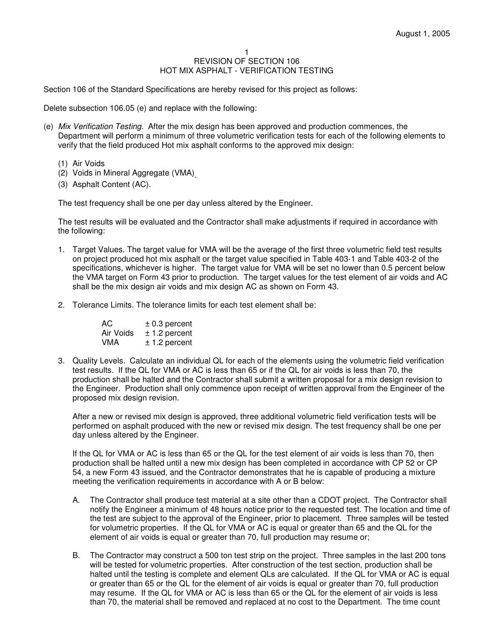#### 1 REVISION OF SECTION 106 HOT MIX ASPHALT - VERIFICATION TESTING

Section 106 of the Standard Specifications are hereby revised for this project as follows:

Delete subsection 106.05 (e) and replace with the following:

- (e) Mix Verification Testing. After the mix design has been approved and production commences, the Department will perform a minimum of three volumetric verification tests for each of the following elements to verify that the field produced Hot mix asphalt conforms to the approved mix design:
	- (1) Air Voids
- (2) Voids in Mineral Aggregate (VMA) .
	- (3) Asphalt Content (AC).

The test frequency shall be one per day unless altered by the Engineer.

The test results will be evaluated and the Contractor shall make adjustments if required in accordance with the following:

- 1. Target Values. The target value for VMA will be the average of the first three volumetric field test results on project produced hot mix asphalt or the target value specified in Table 403-1 and Table 403-2 of the specifications, whichever is higher. The target value for VMA will be set no lower than 0.5 percent below the VMA target on Form 43 prior to production. The target values for the test element of air voids and AC shall be the mix design air voids and mix design AC as shown on Form 43.
- 2. Tolerance Limits. The tolerance limits for each test element shall be:

| AC.       | $\pm$ 0.3 percent |
|-----------|-------------------|
| Air Voids | $± 1.2$ percent   |
| VMA       | $± 1.2$ percent   |

3. Quality Levels. Calculate an individual QL for each of the elements using the volumetric field verification test results. If the QL for VMA or AC is less than 65 or if the QL for air voids is less than 70, the production shall be halted and the Contractor shall submit a written proposal for a mix design revision to the Engineer. Production shall only commence upon receipt of written approval from the Engineer of the proposed mix design revision.

After a new or revised mix design is approved, three additional volumetric field verification tests will be performed on asphalt produced with the new or revised mix design. The test frequency shall be one per day unless altered by the Engineer.

If the QL for VMA or AC is less than 65 or the QL for the test element of air voids is less than 70, then production shall be halted until a new mix design has been completed in accordance with CP 52 or CP 54, a new Form 43 issued, and the Contractor demonstrates that he is capable of producing a mixture meeting the verification requirements in accordance with A or B below:

- A. The Contractor shall produce test material at a site other than a CDOT project. The Contractor shall notify the Engineer a minimum of 48 hours notice prior to the requested test. The location and time of the test are subject to the approval of the Engineer, prior to placement. Three samples will be tested for volumetric properties. If the QL for VMA or AC is equal or greater than 65 and the QL for the element of air voids is equal or greater than 70, full production may resume or;
- B. The Contractor may construct a 500 ton test strip on the project. Three samples in the last 200 tons will be tested for volumetric properties. After construction of the test section, production shall be halted until the testing is complete and element QLs are calculated. If the QL for VMA or AC is equal or greater than 65 or the QL for the element of air voids is equal or greater than 70, full production may resume. If the QL for VMA or AC is less than 65 or the QL for the element of air voids is less than 70, the material shall be removed and replaced at no cost to the Department. The time count